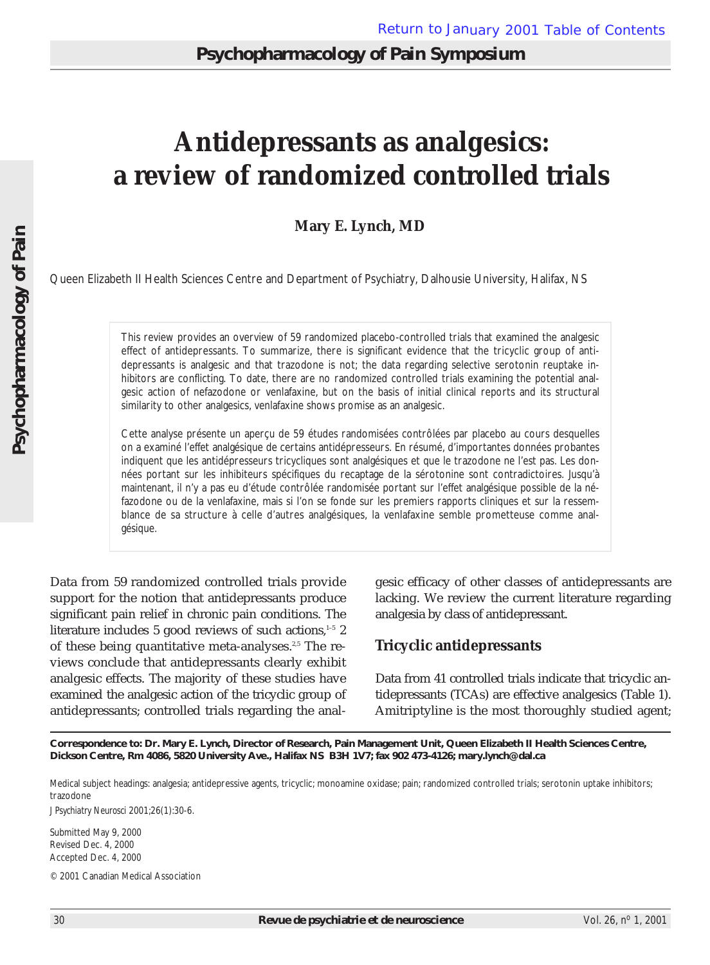# **Antidepressants as analgesics: a review of randomized controlled trials**

## **Mary E. Lynch, MD**

Queen Elizabeth II Health Sciences Centre and Department of Psychiatry, Dalhousie University, Halifax, NS

This review provides an overview of 59 randomized placebo-controlled trials that examined the analgesic effect of antidepressants. To summarize, there is significant evidence that the tricyclic group of antidepressants is analgesic and that trazodone is not; the data regarding selective serotonin reuptake inhibitors are conflicting. To date, there are no randomized controlled trials examining the potential analgesic action of nefazodone or venlafaxine, but on the basis of initial clinical reports and its structural similarity to other analgesics, venlafaxine shows promise as an analgesic.

Cette analyse présente un aperçu de 59 études randomisées contrôlées par placebo au cours desquelles on a examiné l'effet analgésique de certains antidépresseurs. En résumé, d'importantes données probantes indiquent que les antidépresseurs tricycliques sont analgésiques et que le trazodone ne l'est pas. Les données portant sur les inhibiteurs spécifiques du recaptage de la sérotonine sont contradictoires. Jusqu'à maintenant, il n'y a pas eu d'étude contrôlée randomisée portant sur l'effet analgésique possible de la néfazodone ou de la venlafaxine, mais si l'on se fonde sur les premiers rapports cliniques et sur la ressemblance de sa structure à celle d'autres analgésiques, la venlafaxine semble prometteuse comme analgésique.

Data from 59 randomized controlled trials provide support for the notion that antidepressants produce significant pain relief in chronic pain conditions. The literature includes 5 good reviews of such actions, $1-5$  2 of these being quantitative meta-analyses.<sup>2,5</sup> The reviews conclude that antidepressants clearly exhibit analgesic effects. The majority of these studies have examined the analgesic action of the tricyclic group of antidepressants; controlled trials regarding the analgesic efficacy of other classes of antidepressants are lacking. We review the current literature regarding analgesia by class of antidepressant.

## **Tricyclic antidepressants**

Data from 41 controlled trials indicate that tricyclic antidepressants (TCAs) are effective analgesics (Table 1). Amitriptyline is the most thoroughly studied agent;

**Correspondence to: Dr. Mary E. Lynch, Director of Research, Pain Management Unit, Queen Elizabeth II Health Sciences Centre, Dickson Centre, Rm 4086, 5820 University Ave., Halifax NS B3H 1V7; fax 902 473-4126; mary.lynch@dal.ca**

Medical subject headings: analgesia; antidepressive agents, tricyclic; monoamine oxidase; pain; randomized controlled trials; serotonin uptake inhibitors; trazodone

*J Psychiatry Neurosci* 2001;26(1):30-6.

Submitted May 9, 2000 Revised Dec. 4, 2000 Accepted Dec. 4, 2000

© 2001 Canadian Medical Association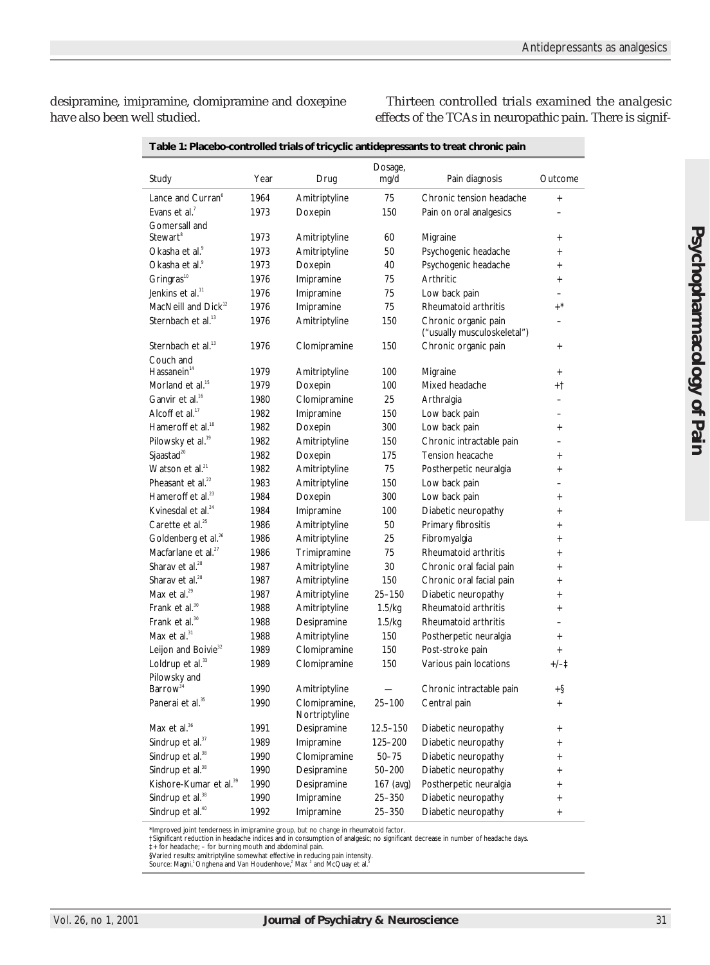desipramine, imipramine, clomipramine and doxepine have also been well studied.

Thirteen controlled trials examined the analgesic effects of the TCAs in neuropathic pain. There is signif-

|                                             |      |                              | Dosage,      |                                                     |                                       |
|---------------------------------------------|------|------------------------------|--------------|-----------------------------------------------------|---------------------------------------|
| Study                                       | Year | Drug                         | mg/d         | Pain diagnosis                                      | Outcome                               |
| Lance and Curran <sup>®</sup>               | 1964 | Amitriptyline                | 75           | Chronic tension headache                            | $^{+}$                                |
| Evans et al. <sup>7</sup>                   | 1973 | Doxepin                      | 150          | Pain on oral analgesics                             |                                       |
| Gomersall and                               |      |                              |              |                                                     |                                       |
| Stewart®                                    | 1973 | Amitriptyline                | 60           | Migraine                                            | $\ddot{}$                             |
| Okasha et al. <sup>9</sup>                  | 1973 | Amitriptyline                | 50           | Psychogenic headache                                | $\ddot{}$                             |
| Okasha et al. <sup>9</sup>                  | 1973 | Doxepin                      | 40           | Psychogenic headache                                | $\ddag$                               |
| Gringras <sup>10</sup>                      | 1976 | Imipramine                   | 75           | Arthritic                                           | $\ddot{}$                             |
| Jenkins et al. <sup>11</sup>                | 1976 | Imipramine                   | 75           | Low back pain                                       |                                       |
| MacNeill and $Dick^{12}$                    | 1976 | Imipramine                   | 75           | Rheumatoid arthritis                                | $+^*$                                 |
| Sternbach et al. <sup>13</sup>              | 1976 | Amitriptyline                | 150          | Chronic organic pain<br>("usually musculoskeletal") |                                       |
| Sternbach et al. <sup>13</sup><br>Couch and | 1976 | Clomipramine                 | 150          | Chronic organic pain                                | $\ddot{}$                             |
| Hassanein <sup>14</sup>                     | 1979 | Amitriptyline                | 100          | Migraine                                            | $^{+}$                                |
| Morland et al. <sup>15</sup>                | 1979 | Doxepin                      | 100          | Mixed headache                                      | +t                                    |
| Ganvir et al. <sup>16</sup>                 | 1980 | Clomipramine                 | 25           | Arthralgia                                          | $\overline{\phantom{0}}$              |
| Alcoff et al. $17$                          | 1982 | Imipramine                   | 150          | Low back pain                                       | -                                     |
| Hameroff et al. <sup>18</sup>               | 1982 | Doxepin                      | 300          | Low back pain                                       | $\ddot{}$                             |
| Pilowsky et al. <sup>19</sup>               | 1982 | Amitriptyline                | 150          | Chronic intractable pain                            |                                       |
| Sjaastad <sup>20</sup>                      | 1982 | Doxepin                      | 175          | Tension heacache                                    | $\ddot{}$                             |
| Watson et al. $21$                          | 1982 | Amitriptyline                | 75           | Postherpetic neuralgia                              | $\ddot{}$                             |
| Pheasant et al. <sup>22</sup>               | 1983 | Amitriptyline                | 150          | Low back pain                                       |                                       |
| Hameroff et al. $^{23}$                     | 1984 | Doxepin                      | 300          | Low back pain                                       | $\ddot{}$                             |
| Kvinesdal et al. <sup>24</sup>              | 1984 | Imipramine                   | 100          | Diabetic neuropathy                                 | $\ddot{}$                             |
| Carette et al. <sup>25</sup>                | 1986 | Amitriptyline                | 50           | Primary fibrositis                                  | $\ddag$                               |
| Goldenberg et al. <sup>26</sup>             | 1986 | Amitriptyline                | 25           | Fibromyalgia                                        | $\ddot{}$                             |
| Macfarlane et al. <sup>27</sup>             | 1986 | Trimipramine                 | 75           | Rheumatoid arthritis                                | $\ddag$                               |
| Sharav et al. <sup>28</sup>                 | 1987 | Amitriptyline                | 30           | Chronic oral facial pain                            | $\ddot{}$                             |
| Sharav et al. <sup>28</sup>                 | 1987 |                              | 150          |                                                     |                                       |
| Max et al. <sup>29</sup>                    | 1987 | Amitriptyline                | 25-150       | Chronic oral facial pain                            | $\ddot{}$                             |
| Frank et al. <sup>30</sup>                  | 1988 | Amitriptyline                | 1.5/kq       | Diabetic neuropathy<br>Rheumatoid arthritis         | $\ddot{}$                             |
| Frank et al. <sup>30</sup>                  | 1988 | Amitriptyline                | 1.5/kq       | Rheumatoid arthritis                                | $\ddot{}$<br>$\overline{\phantom{0}}$ |
| Max et al. <sup>31</sup>                    | 1988 | Desipramine<br>Amitriptyline | 150          |                                                     |                                       |
| Leijon and Boivie <sup>32</sup>             |      |                              |              | Postherpetic neuralgia                              | $\ddot{}$                             |
| Loldrup et al. <sup>33</sup>                | 1989 | Clomipramine                 | 150          | Post-stroke pain                                    | $^{+}$                                |
| Pilowsky and                                | 1989 | Clomipramine                 | 150          | Various pain locations                              | $+/-1$                                |
| Barrow <sup>34</sup>                        | 1990 | Amitriptyline                |              | Chronic intractable pain                            | +§                                    |
| Panerai et al. <sup>35</sup>                | 1990 | Clomipramine,                | $25 - 100$   | Central pain                                        |                                       |
|                                             |      | Nortriptyline                |              |                                                     |                                       |
| Max et al. <sup>36</sup>                    | 1991 | Desipramine                  | $12.5 - 150$ | Diabetic neuropathy                                 | $^{+}$                                |
| Sindrup et al. <sup>37</sup>                | 1989 | Imipramine                   | 125-200      | Diabetic neuropathy                                 | $^{+}$                                |
| Sindrup et al. <sup>38</sup>                | 1990 | Clomipramine                 | $50 - 75$    | Diabetic neuropathy                                 | $^{+}$                                |
| Sindrup et al. <sup>38</sup>                | 1990 | Desipramine                  | $50 - 200$   | Diabetic neuropathy                                 | $^{+}$                                |
| Kishore-Kumar et al. <sup>39</sup>          | 1990 | Desipramine                  | 167 (avg)    | Postherpetic neuralgia                              | $^{+}$                                |
| Sindrup et al. <sup>38</sup>                | 1990 | Imipramine                   | $25 - 350$   | Diabetic neuropathy                                 | $\ddot{}$                             |
| Sindrup et al. <sup>40</sup>                | 1992 | Imipramine                   | 25-350       | Diabetic neuropathy                                 | $^{+}$                                |

**Table 1: Placebo-controlled trials of tricyclic antidepressants to treat chronic pain**

\*Improved joint tenderness in imipramine group, but no change in rheumatoid factor.

tSignificant reduction in headache indices and in consumption of analgesic; no significant decrease in number of headache days.<br>‡+ for headache; – for burning mouth and abdominal pain.<br>§Varied results: amitriptyline somew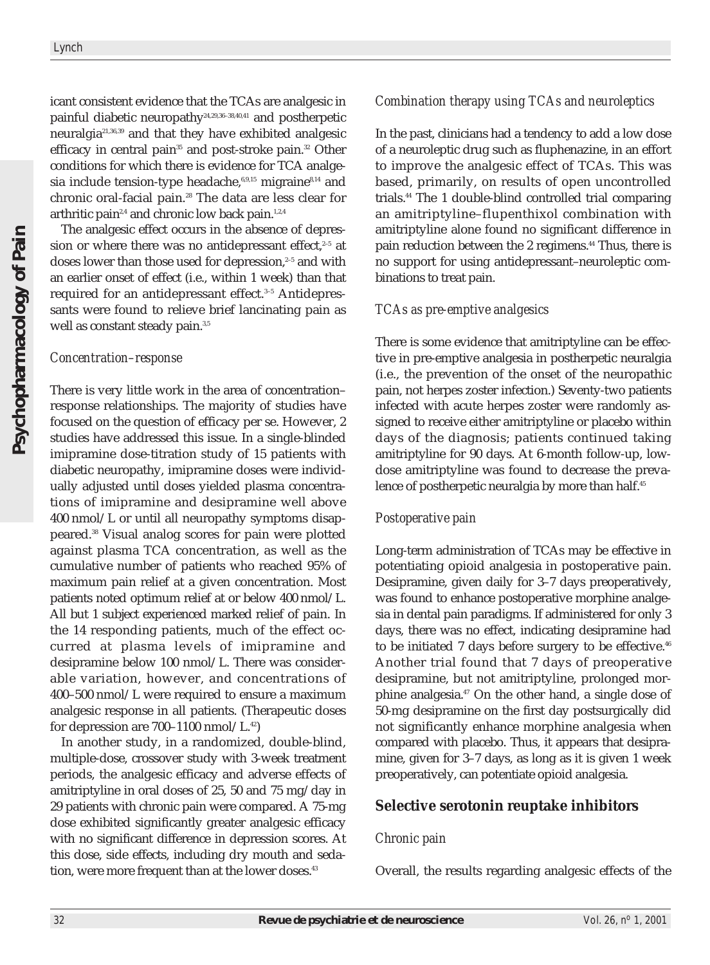icant consistent evidence that the TCAs are analgesic in painful diabetic neuropathy24,29,36–38,40,41 and postherpetic neuralgia21,36,39 and that they have exhibited analgesic efficacy in central pain<sup>35</sup> and post-stroke pain.<sup>32</sup> Other conditions for which there is evidence for TCA analgesia include tension-type headache, $6,9,15$  migraine $8,14$  and chronic oral-facial pain.<sup>28</sup> The data are less clear for arthritic pain $2,4$  and chronic low back pain.<sup>1,2,4</sup>

The analgesic effect occurs in the absence of depression or where there was no antidepressant effect, $2-5$  at doses lower than those used for depression,<sup>2-5</sup> and with an earlier onset of effect (i.e., within 1 week) than that required for an antidepressant effect.<sup>3-5</sup> Antidepressants were found to relieve brief lancinating pain as well as constant steady pain.<sup>3,5</sup>

#### *Concentration–response*

There is very little work in the area of concentration– response relationships. The majority of studies have focused on the question of efficacy per se. However, 2 studies have addressed this issue. In a single-blinded imipramine dose-titration study of 15 patients with diabetic neuropathy, imipramine doses were individually adjusted until doses yielded plasma concentrations of imipramine and desipramine well above 400 nmol/L or until all neuropathy symptoms disappeared.38 Visual analog scores for pain were plotted against plasma TCA concentration, as well as the cumulative number of patients who reached 95% of maximum pain relief at a given concentration. Most patients noted optimum relief at or below 400 nmol/L. All but 1 subject experienced marked relief of pain. In the 14 responding patients, much of the effect occurred at plasma levels of imipramine and desipramine below 100 nmol/L. There was considerable variation, however, and concentrations of 400–500 nmol/L were required to ensure a maximum analgesic response in all patients. (Therapeutic doses for depression are  $700-1100$  nmol/L.<sup>42</sup>)

In another study, in a randomized, double-blind, multiple-dose, crossover study with 3-week treatment periods, the analgesic efficacy and adverse effects of amitriptyline in oral doses of 25, 50 and 75 mg/day in 29 patients with chronic pain were compared. A 75-mg dose exhibited significantly greater analgesic efficacy with no significant difference in depression scores. At this dose, side effects, including dry mouth and sedation, were more frequent than at the lower doses.<sup>43</sup>

#### *Combination therapy using TCAs and neuroleptics*

In the past, clinicians had a tendency to add a low dose of a neuroleptic drug such as fluphenazine, in an effort to improve the analgesic effect of TCAs. This was based, primarily, on results of open uncontrolled trials.44 The 1 double-blind controlled trial comparing an amitriptyline–flupenthixol combination with amitriptyline alone found no significant difference in pain reduction between the 2 regimens.<sup>44</sup> Thus, there is no support for using antidepressant–neuroleptic combinations to treat pain.

#### *TCAs as pre-emptive analgesics*

There is some evidence that amitriptyline can be effective in pre-emptive analgesia in postherpetic neuralgia (i.e., the prevention of the onset of the neuropathic pain, not herpes zoster infection.) Seventy-two patients infected with acute herpes zoster were randomly assigned to receive either amitriptyline or placebo within days of the diagnosis; patients continued taking amitriptyline for 90 days. At 6-month follow-up, lowdose amitriptyline was found to decrease the prevalence of postherpetic neuralgia by more than half.<sup>45</sup>

## *Postoperative pain*

Long-term administration of TCAs may be effective in potentiating opioid analgesia in postoperative pain. Desipramine, given daily for 3–7 days preoperatively, was found to enhance postoperative morphine analgesia in dental pain paradigms. If administered for only 3 days, there was no effect, indicating desipramine had to be initiated 7 days before surgery to be effective.<sup>46</sup> Another trial found that 7 days of preoperative desipramine, but not amitriptyline, prolonged morphine analgesia.<sup>47</sup> On the other hand, a single dose of 50-mg desipramine on the first day postsurgically did not significantly enhance morphine analgesia when compared with placebo. Thus, it appears that desipramine, given for 3–7 days, as long as it is given 1 week preoperatively, can potentiate opioid analgesia.

#### **Selective serotonin reuptake inhibitors**

#### *Chronic pain*

Overall, the results regarding analgesic effects of the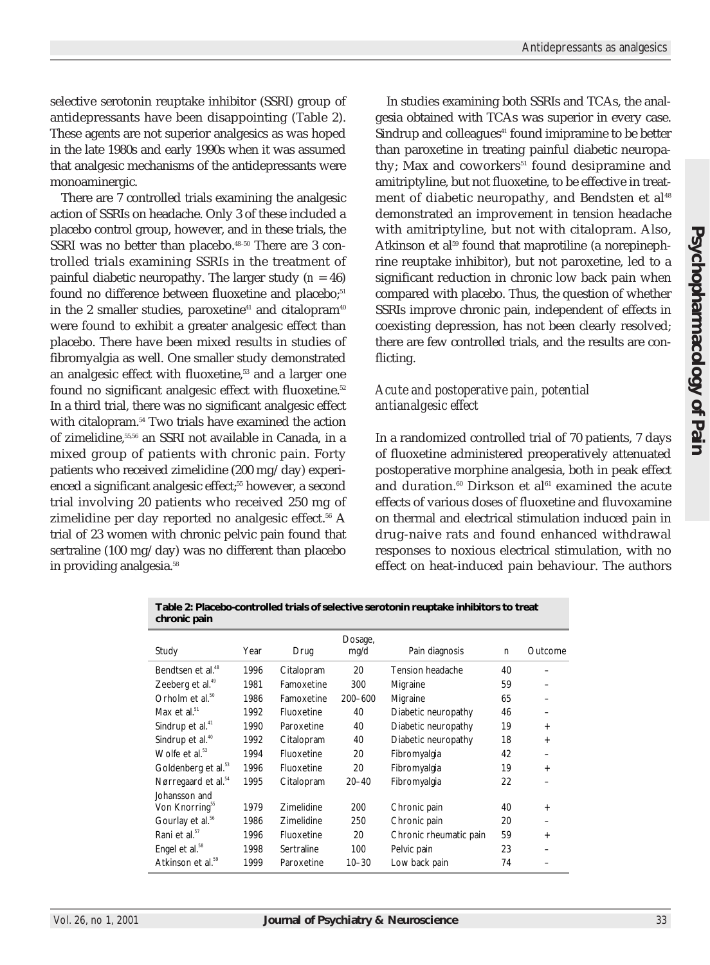selective serotonin reuptake inhibitor (SSRI) group of antidepressants have been disappointing (Table 2). These agents are not superior analgesics as was hoped in the late 1980s and early 1990s when it was assumed that analgesic mechanisms of the antidepressants were monoaminergic.

There are 7 controlled trials examining the analgesic action of SSRIs on headache. Only 3 of these included a placebo control group, however, and in these trials, the SSRI was no better than placebo.<sup>48-50</sup> There are 3 controlled trials examining SSRIs in the treatment of painful diabetic neuropathy. The larger study  $(n = 46)$ found no difference between fluoxetine and placebo;<sup>51</sup> in the 2 smaller studies, paroxetine<sup>41</sup> and citalopram<sup>40</sup> were found to exhibit a greater analgesic effect than placebo. There have been mixed results in studies of fibromyalgia as well. One smaller study demonstrated an analgesic effect with fluoxetine,<sup>53</sup> and a larger one found no significant analgesic effect with fluoxetine.<sup>52</sup> In a third trial, there was no significant analgesic effect with citalopram.<sup>54</sup> Two trials have examined the action of zimelidine,<sup>55,56</sup> an SSRI not available in Canada, in a mixed group of patients with chronic pain. Forty patients who received zimelidine (200 mg/day) experienced a significant analgesic effect;<sup>55</sup> however, a second trial involving 20 patients who received 250 mg of zimelidine per day reported no analgesic effect. $56$  A trial of 23 women with chronic pelvic pain found that sertraline (100 mg/day) was no different than placebo in providing analgesia.<sup>58</sup>

In studies examining both SSRIs and TCAs, the analgesia obtained with TCAs was superior in every case. Sindrup and colleagues<sup>41</sup> found imipramine to be better than paroxetine in treating painful diabetic neuropathy; Max and coworkers<sup>51</sup> found desipramine and amitriptyline, but not fluoxetine, to be effective in treatment of diabetic neuropathy, and Bendsten et al<sup>48</sup> demonstrated an improvement in tension headache with amitriptyline, but not with citalopram. Also, Atkinson et al<sup>59</sup> found that maprotiline (a norepinephrine reuptake inhibitor), but not paroxetine, led to a significant reduction in chronic low back pain when compared with placebo. Thus, the question of whether SSRIs improve chronic pain, independent of effects in coexisting depression, has not been clearly resolved; there are few controlled trials, and the results are conflicting.

## *Acute and postoperative pain, potential antianalgesic effect*

In a randomized controlled trial of 70 patients, 7 days of fluoxetine administered preoperatively attenuated postoperative morphine analgesia, both in peak effect and duration.<sup>60</sup> Dirkson et al $61$  examined the acute effects of various doses of fluoxetine and fluvoxamine on thermal and electrical stimulation induced pain in drug-naive rats and found enhanced withdrawal responses to noxious electrical stimulation, with no effect on heat-induced pain behaviour. The authors

**Table 2: Placebo-controlled trials of selective serotonin reuptake inhibitors to treat chronic pain**

| Year | Drug              | Dosage,<br>mg/d | Pain diagnosis         | n  | Outcome |
|------|-------------------|-----------------|------------------------|----|---------|
| 1996 | Citalopram        | 20              | Tension headache       | 40 |         |
| 1981 | Famoxetine        | 300             | Migraine               | 59 |         |
| 1986 | Famoxetine        | $200 - 600$     | Migraine               | 65 |         |
| 1992 | Fluoxetine        | 40              | Diabetic neuropathy    | 46 | -       |
| 1990 | Paroxetine        | 40              | Diabetic neuropathy    | 19 | $+$     |
| 1992 | Citalopram        | 40              | Diabetic neuropathy    | 18 | $+$     |
| 1994 | Fluoxetine        | 20              | Fibromyalgia           | 42 |         |
| 1996 | Fluoxetine        | 20              | Fibromyalgia           | 19 | $+$     |
| 1995 | Citalopram        | $20 - 40$       | Fibromyalgia           | 22 |         |
|      |                   |                 |                        |    |         |
| 1979 | <b>Zimelidine</b> | 200             | Chronic pain           | 40 | $+$     |
| 1986 | Zimelidine        | 250             | Chronic pain           | 20 |         |
| 1996 | Fluoxetine        | 20              | Chronic rheumatic pain | 59 | $+$     |
| 1998 | Sertraline        | 100             | Pelvic pain            | 23 |         |
| 1999 | Paroxetine        | $10 - 30$       | Low back pain          | 74 |         |
|      |                   |                 |                        |    |         |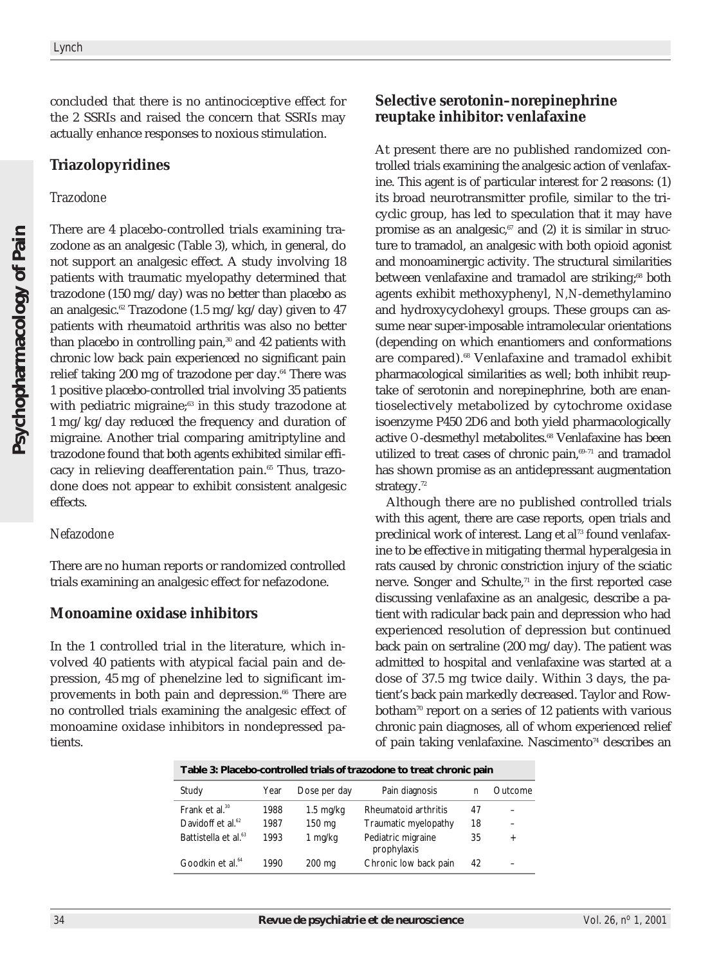concluded that there is no antinociceptive effect for the 2 SSRIs and raised the concern that SSRIs may actually enhance responses to noxious stimulation.

## **Triazolopyridines**

#### *Trazodone*

There are 4 placebo-controlled trials examining trazodone as an analgesic (Table 3), which, in general, do not support an analgesic effect. A study involving 18 patients with traumatic myelopathy determined that trazodone (150 mg/day) was no better than placebo as an analgesic.<sup>62</sup> Trazodone (1.5 mg/kg/day) given to 47 patients with rheumatoid arthritis was also no better than placebo in controlling pain, $30$  and 42 patients with chronic low back pain experienced no significant pain relief taking 200 mg of trazodone per day.<sup>64</sup> There was 1 positive placebo-controlled trial involving 35 patients with pediatric migraine;<sup>63</sup> in this study trazodone at 1 mg/kg/day reduced the frequency and duration of migraine. Another trial comparing amitriptyline and trazodone found that both agents exhibited similar efficacy in relieving deafferentation pain.<sup>65</sup> Thus, trazodone does not appear to exhibit consistent analgesic effects.

## *Nefazodone*

There are no human reports or randomized controlled trials examining an analgesic effect for nefazodone.

## **Monoamine oxidase inhibitors**

In the 1 controlled trial in the literature, which involved 40 patients with atypical facial pain and depression, 45 mg of phenelzine led to significant improvements in both pain and depression.<sup>66</sup> There are no controlled trials examining the analgesic effect of monoamine oxidase inhibitors in nondepressed patients.

## **Selective serotonin–norepinephrine reuptake inhibitor: venlafaxine**

At present there are no published randomized controlled trials examining the analgesic action of venlafaxine. This agent is of particular interest for 2 reasons: (1) its broad neurotransmitter profile, similar to the tricyclic group, has led to speculation that it may have promise as an analgesic, $67$  and (2) it is similar in structure to tramadol, an analgesic with both opioid agonist and monoaminergic activity. The structural similarities between venlafaxine and tramadol are striking;<sup>68</sup> both agents exhibit methoxyphenyl, *N,N*-demethylamino and hydroxycyclohexyl groups. These groups can assume near super-imposable intramolecular orientations (depending on which enantiomers and conformations are compared).<sup>68</sup> Venlafaxine and tramadol exhibit pharmacological similarities as well; both inhibit reuptake of serotonin and norepinephrine, both are enantioselectively metabolized by cytochrome oxidase isoenzyme P450 2D6 and both yield pharmacologically active *O*-desmethyl metabolites.<sup>68</sup> Venlafaxine has been utilized to treat cases of chronic pain,<sup>69-71</sup> and tramadol has shown promise as an antidepressant augmentation strategy.<sup>72</sup>

Although there are no published controlled trials with this agent, there are case reports, open trials and preclinical work of interest. Lang et al<sup>73</sup> found venlafaxine to be effective in mitigating thermal hyperalgesia in rats caused by chronic constriction injury of the sciatic nerve. Songer and Schulte, $71$  in the first reported case discussing venlafaxine as an analgesic, describe a patient with radicular back pain and depression who had experienced resolution of depression but continued back pain on sertraline (200 mg/day). The patient was admitted to hospital and venlafaxine was started at a dose of 37.5 mg twice daily. Within 3 days, the patient's back pain markedly decreased. Taylor and Rowbotham<sup> $70$ </sup> report on a series of 12 patients with various chronic pain diagnoses, all of whom experienced relief of pain taking venlafaxine. Nascimento<sup>74</sup> describes an

| Table 3. Flacebo-controlled trials of trazogone to treat chronic pain |      |                     |                                   |    |         |  |  |  |  |
|-----------------------------------------------------------------------|------|---------------------|-----------------------------------|----|---------|--|--|--|--|
| Study                                                                 | Year | Dose per day        | Pain diagnosis                    | n  | Outcome |  |  |  |  |
| Frank et al. $30$                                                     | 1988 | $1.5 \text{ mg/kg}$ | Rheumatoid arthritis              | 47 |         |  |  |  |  |
| Davidoff et al. <sup>62</sup>                                         | 1987 | 150 mg              | Traumatic myelopathy              | 18 |         |  |  |  |  |
| Battistella et al. <sup>63</sup>                                      | 1993 | 1 mg/kg             | Pediatric migraine<br>prophylaxis | 35 | $^{+}$  |  |  |  |  |
| Goodkin et al. <sup>64</sup>                                          | 1990 | 200 mg              | Chronic low back pain             | 42 |         |  |  |  |  |

**Table 3: Placebo-controlled trials of trazodone to treat chronic pain**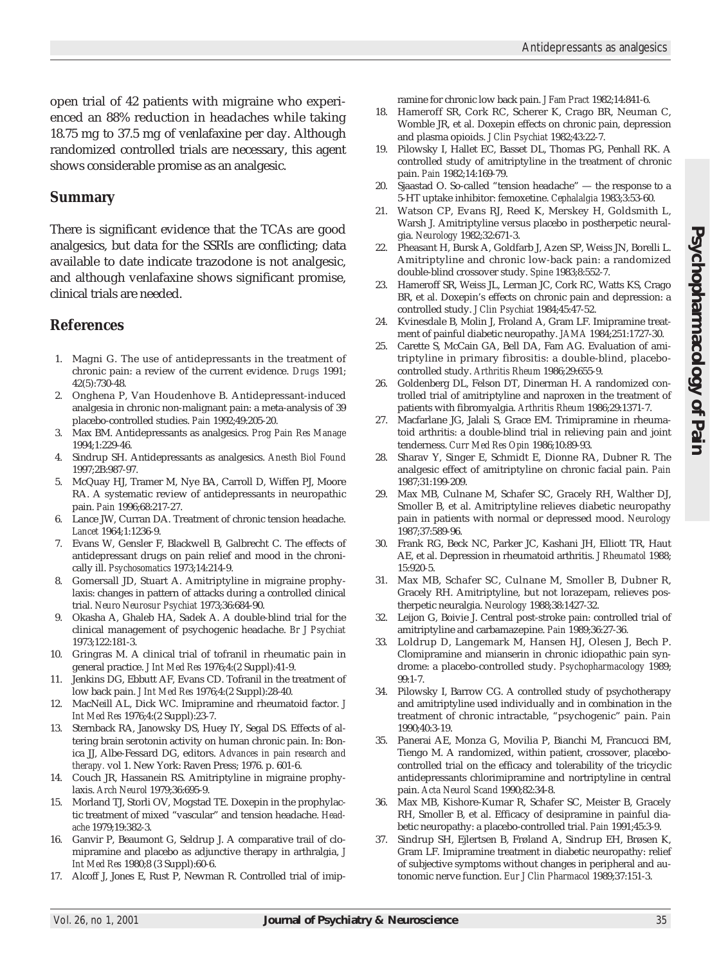open trial of 42 patients with migraine who experienced an 88% reduction in headaches while taking 18.75 mg to 37.5 mg of venlafaxine per day. Although randomized controlled trials are necessary, this agent shows considerable promise as an analgesic.

#### **Summary**

There is significant evidence that the TCAs are good analgesics, but data for the SSRIs are conflicting; data available to date indicate trazodone is not analgesic, and although venlafaxine shows significant promise, clinical trials are needed.

## **References**

- 1. Magni G. The use of antidepressants in the treatment of chronic pain: a review of the current evidence. *Drugs* 1991; 42(5):730-48.
- 2. Onghena P, Van Houdenhove B. Antidepressant-induced analgesia in chronic non-malignant pain: a meta-analysis of 39 placebo-controlled studies. *Pain* 1992;49:205-20.
- 3. Max BM. Antidepressants as analgesics. *Prog Pain Res Manage* 1994;1:229-46.
- 4. Sindrup SH. Antidepressants as analgesics. *Anesth Biol Found* 1997;2B:987-97.
- 5. McQuay HJ, Tramer M, Nye BA, Carroll D, Wiffen PJ, Moore RA. A systematic review of antidepressants in neuropathic pain. *Pain* 1996;68:217-27.
- 6. Lance JW, Curran DA. Treatment of chronic tension headache. *Lancet* 1964;1:1236-9.
- 7. Evans W, Gensler F, Blackwell B, Galbrecht C. The effects of antidepressant drugs on pain relief and mood in the chronically ill. *Psychosomatics* 1973;14:214-9.
- 8. Gomersall JD, Stuart A. Amitriptyline in migraine prophylaxis: changes in pattern of attacks during a controlled clinical trial. *Neuro Neurosur Psychiat* 1973;36:684-90.
- 9. Okasha A, Ghaleb HA, Sadek A. A double-blind trial for the clinical management of psychogenic headache. *Br J Psychiat* 1973;122:181-3.
- 10. Gringras M. A clinical trial of tofranil in rheumatic pain in general practice. *J Int Med Res* 1976;4:(2 Suppl):41-9.
- 11. Jenkins DG, Ebbutt AF, Evans CD. Tofranil in the treatment of low back pain. *J Int Med Res* 1976;4:(2 Suppl):28-40.
- 12. MacNeill AL, Dick WC. Imipramine and rheumatoid factor. *J Int Med Res* 1976;4:(2 Suppl):23-7.
- 13. Sternback RA, Janowsky DS, Huey IY, Segal DS. Effects of altering brain serotonin activity on human chronic pain. In: Bonica JJ, Albe-Fessard DG, editors. *Advances in pain research and therapy.* vol 1. New York: Raven Press; 1976. p. 601-6.
- 14. Couch JR, Hassanein RS. Amitriptyline in migraine prophylaxis. *Arch Neurol* 1979;36:695-9.
- 15. Morland TJ, Storli OV, Mogstad TE. Doxepin in the prophylactic treatment of mixed "vascular" and tension headache. *Headache* 1979;19:382-3.
- 16. Ganvir P, Beaumont G, Seldrup J. A comparative trail of clomipramine and placebo as adjunctive therapy in arthralgia, *J Int Med Res* 1980;8 (3 Suppl):60-6.
- 17. Alcoff J, Jones E, Rust P, Newman R. Controlled trial of imip-

ramine for chronic low back pain. *J Fam Pract* 1982;14:841-6.

- 18. Hameroff SR, Cork RC, Scherer K, Crago BR, Neuman C, Womble JR, et al. Doxepin effects on chronic pain, depression and plasma opioids. *J Clin Psychiat* 1982;43:22-7.
- 19. Pilowsky I, Hallet EC, Basset DL, Thomas PG, Penhall RK. A controlled study of amitriptyline in the treatment of chronic pain. *Pain* 1982;14:169-79.
- 20. Sjaastad O. So-called "tension headache" the response to a 5-HT uptake inhibitor: femoxetine. *Cephalalgia* 1983;3:53-60.
- 21. Watson CP, Evans RJ, Reed K, Merskey H, Goldsmith L, Warsh J. Amitriptyline versus placebo in postherpetic neuralgia. *Neurology* 1982;32:671-3.
- 22. Pheasant H, Bursk A, Goldfarb J, Azen SP, Weiss JN, Borelli L. Amitriptyline and chronic low-back pain: a randomized double-blind crossover study. *Spine* 1983;8:552-7.
- 23. Hameroff SR, Weiss JL, Lerman JC, Cork RC, Watts KS, Crago BR, et al. Doxepin's effects on chronic pain and depression: a controlled study. *J Clin Psychiat* 1984;45:47-52.
- 24. Kvinesdale B, Molin J, Froland A, Gram LF. Imipramine treatment of painful diabetic neuropathy. *JAMA* 1984;251:1727-30.
- 25. Carette S, McCain GA, Bell DA, Fam AG. Evaluation of amitriptyline in primary fibrositis: a double-blind, placebocontrolled study. *Arthritis Rheum* 1986;29:655-9.
- 26. Goldenberg DL, Felson DT, Dinerman H. A randomized controlled trial of amitriptyline and naproxen in the treatment of patients with fibromyalgia. *Arthritis Rheum* 1986;29:1371-7.
- 27. Macfarlane JG, Jalali S, Grace EM. Trimipramine in rheumatoid arthritis: a double-blind trial in relieving pain and joint tenderness. *Curr Med Res Opin* 1986;10:89-93.
- 28. Sharav Y, Singer E, Schmidt E, Dionne RA, Dubner R. The analgesic effect of amitriptyline on chronic facial pain. *Pain* 1987;31:199-209.
- 29. Max MB, Culnane M, Schafer SC, Gracely RH, Walther DJ, Smoller B, et al. Amitriptyline relieves diabetic neuropathy pain in patients with normal or depressed mood. *Neurology* 1987;37:589-96.
- 30. Frank RG, Beck NC, Parker JC, Kashani JH, Elliott TR, Haut AE, et al. Depression in rheumatoid arthritis. *J Rheumatol* 1988; 15:920-5.
- 31. Max MB, Schafer SC, Culnane M, Smoller B, Dubner R, Gracely RH. Amitriptyline, but not lorazepam, relieves postherpetic neuralgia. *Neurology* 1988;38:1427-32.
- 32. Leijon G, Boivie J. Central post-stroke pain: controlled trial of amitriptyline and carbamazepine. *Pain* 1989;36:27-36.
- 33. Loldrup D, Langemark M, Hansen HJ, Olesen J, Bech P. Clomipramine and mianserin in chronic idiopathic pain syndrome: a placebo-controlled study. *Psychopharmacology* 1989; 99:1-7.
- 34. Pilowsky I, Barrow CG. A controlled study of psychotherapy and amitriptyline used individually and in combination in the treatment of chronic intractable, "psychogenic" pain. *Pain* 1990;40:3-19.
- 35. Panerai AE, Monza G, Movilia P, Bianchi M, Francucci BM, Tiengo M. A randomized, within patient, crossover, placebocontrolled trial on the efficacy and tolerability of the tricyclic antidepressants chlorimipramine and nortriptyline in central pain. *Acta Neurol Scand* 1990;82:34-8.
- 36. Max MB, Kishore-Kumar R, Schafer SC, Meister B, Gracely RH, Smoller B, et al. Efficacy of desipramine in painful diabetic neuropathy: a placebo-controlled trial. *Pain* 1991;45:3-9.
- 37. Sindrup SH, Ejlertsen B, Frøland A, Sindrup EH, Brøsen K, Gram LF. Imipramine treatment in diabetic neuropathy: relief of subjective symptoms without changes in peripheral and autonomic nerve function. *Eur J Clin Pharmacol* 1989;37:151-3.